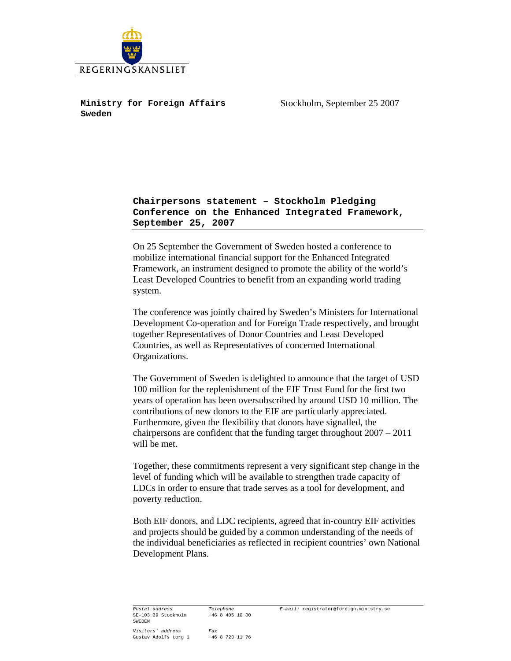

 **Ministry for Foreign Affairs Sweden** 

Stockholm, September 25 2007

## **Chairpersons statement – Stockholm Pledging Conference on the Enhanced Integrated Framework, September 25, 2007**

On 25 September the Government of Sweden hosted a conference to mobilize international financial support for the Enhanced Integrated Framework, an instrument designed to promote the ability of the world's Least Developed Countries to benefit from an expanding world trading system.

The conference was jointly chaired by Sweden's Ministers for International Development Co-operation and for Foreign Trade respectively, and brought together Representatives of Donor Countries and Least Developed Countries, as well as Representatives of concerned International Organizations.

The Government of Sweden is delighted to announce that the target of USD 100 million for the replenishment of the EIF Trust Fund for the first two years of operation has been oversubscribed by around USD 10 million. The contributions of new donors to the EIF are particularly appreciated. Furthermore, given the flexibility that donors have signalled, the chairpersons are confident that the funding target throughout 2007 – 2011 will be met.

Together, these commitments represent a very significant step change in the level of funding which will be available to strengthen trade capacity of LDCs in order to ensure that trade serves as a tool for development, and poverty reduction.

Both EIF donors, and LDC recipients, agreed that in-country EIF activities and projects should be guided by a common understanding of the needs of the individual beneficiaries as reflected in recipient countries' own National Development Plans.

*Postal address Telephone E-mail:* registrator@foreign.ministry.se SE-103 39 Stockholm SWEDEN *Visitors' address Fax*  Gustav Adolfs torg 1 +46 8 723 11 76